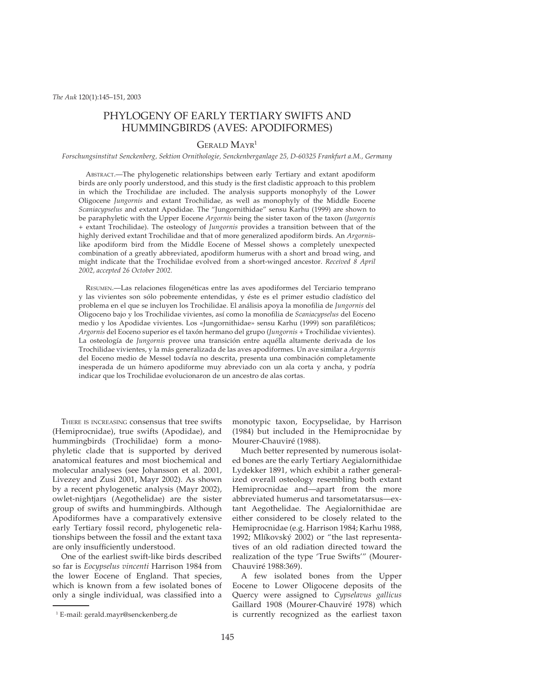# PHYLOGENY OF EARLY TERTIARY SWIFTS AND HUMMINGBIRDS (AVES: APODIFORMES)

## GERALD MAYR1

### *Forschungsinstitut Senckenberg, Sektion Ornithologie, Senckenberganlage 25, D-60325 Frankfurt a.M., Germany*

ABSTRACT.—The phylogenetic relationships between early Tertiary and extant apodiform birds are only poorly understood, and this study is the first cladistic approach to this problem in which the Trochilidae are included. The analysis supports monophyly of the Lower Oligocene *Jungornis* and extant Trochilidae, as well as monophyly of the Middle Eocene *Scaniacypselus* and extant Apodidae. The "Jungornithidae" sensu Karhu (1999) are shown to be paraphyletic with the Upper Eocene *Argornis* being the sister taxon of the taxon (*Jungornis* + extant Trochilidae). The osteology of *Jungornis* provides a transition between that of the highly derived extant Trochilidae and that of more generalized apodiform birds. An *Argornis*like apodiform bird from the Middle Eocene of Messel shows a completely unexpected combination of a greatly abbreviated, apodiform humerus with a short and broad wing, and might indicate that the Trochilidae evolved from a short-winged ancestor. *Received 8 April 2002, accepted 26 October 2002.*

RESUMEN.—Las relaciones filogenéticas entre las aves apodiformes del Terciario temprano y las vivientes son sólo pobremente entendidas, y éste es el primer estudio cladístico del problema en el que se incluyen los Trochilidae. El análisis apoya la monofilia de *Jungornis* del Oligoceno bajo y los Trochilidae vivientes, así como la monofilia de *Scaniacypselus* del Eoceno medio y los Apodidae vivientes. Los «Jungornithidae» sensu Karhu (1999) son parafiléticos; *Argornis* del Eoceno superior es el taxón hermano del grupo (*Jungornis* + Trochilidae vivientes). La osteología de *Jungornis* provee una transición entre aquélla altamente derivada de los Trochilidae vivientes, y la más generalizada de las aves apodiformes. Un ave similar a *Argornis* del Eoceno medio de Messel todavía no descrita, presenta una combinación completamente inesperada de un húmero apodiforme muy abreviado con un ala corta y ancha, y podría indicar que los Trochilidae evolucionaron de un ancestro de alas cortas.

THERE IS INCREASING consensus that tree swifts (Hemiprocnidae), true swifts (Apodidae), and hummingbirds (Trochilidae) form a monophyletic clade that is supported by derived anatomical features and most biochemical and molecular analyses (see Johansson et al. 2001, Livezey and Zusi 2001, Mayr 2002). As shown by a recent phylogenetic analysis (Mayr 2002), owlet-nightjars (Aegothelidae) are the sister group of swifts and hummingbirds. Although Apodiformes have a comparatively extensive early Tertiary fossil record, phylogenetic relationships between the fossil and the extant taxa are only insufficiently understood.

One of the earliest swift-like birds described so far is *Eocypselus vincenti* Harrison 1984 from the lower Eocene of England. That species, which is known from a few isolated bones of only a single individual, was classified into a monotypic taxon, Eocypselidae, by Harrison (1984) but included in the Hemiprocnidae by Mourer-Chauviré (1988).

Much better represented by numerous isolated bones are the early Tertiary Aegialornithidae Lydekker 1891, which exhibit a rather generalized overall osteology resembling both extant Hemiprocnidae and—apart from the more abbreviated humerus and tarsometatarsus—extant Aegothelidae. The Aegialornithidae are either considered to be closely related to the Hemiprocnidae (e.g. Harrison 1984; Karhu 1988, 1992; Mlíkovský 2002) or "the last representatives of an old radiation directed toward the realization of the type 'True Swifts'" (Mourer-Chauviré 1988:369).

A few isolated bones from the Upper Eocene to Lower Oligocene deposits of the Quercy were assigned to *Cypselavus gallicus* Gaillard 1908 (Mourer-Chauviré 1978) which is currently recognized as the earliest taxon

<sup>1</sup> E-mail: gerald.mayr@senckenberg.de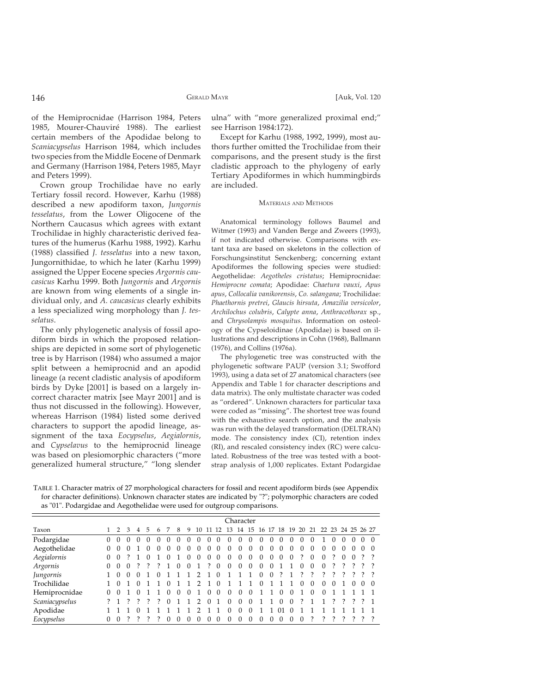of the Hemiprocnidae (Harrison 1984, Peters 1985, Mourer-Chauviré 1988). The earliest certain members of the Apodidae belong to *Scaniacypselus* Harrison 1984, which includes two species from the Middle Eocene of Denmark and Germany (Harrison 1984, Peters 1985, Mayr and Peters 1999).

Crown group Trochilidae have no early Tertiary fossil record. However, Karhu (1988) described a new apodiform taxon, *Jungornis tesselatus*, from the Lower Oligocene of the Northern Caucasus which agrees with extant Trochilidae in highly characteristic derived features of the humerus (Karhu 1988, 1992). Karhu (1988) classified *J. tesselatus* into a new taxon, Jungornithidae, to which he later (Karhu 1999) assigned the Upper Eocene species *Argornis caucasicus* Karhu 1999. Both *Jungornis* and *Argornis* are known from wing elements of a single individual only, and *A. caucasicus* clearly exhibits a less specialized wing morphology than *J. tesselatus*.

The only phylogenetic analysis of fossil apodiform birds in which the proposed relationships are depicted in some sort of phylogenetic tree is by Harrison (1984) who assumed a major split between a hemiprocnid and an apodid lineage (a recent cladistic analysis of apodiform birds by Dyke [2001] is based on a largely incorrect character matrix [see Mayr 2001] and is thus not discussed in the following). However, whereas Harrison (1984) listed some derived characters to support the apodid lineage, assignment of the taxa *Eocypselus*, *Aegialornis*, and *Cypselavus* to the hemiprocnid lineage was based on plesiomorphic characters ("more generalized humeral structure," "long slender

ulna" with "more generalized proximal end;" see Harrison 1984:172).

Except for Karhu (1988, 1992, 1999), most authors further omitted the Trochilidae from their comparisons, and the present study is the first cladistic approach to the phylogeny of early Tertiary Apodiformes in which hummingbirds are included.

#### MATERIALS AND METHODS

Anatomical terminology follows Baumel and Witmer (1993) and Vanden Berge and Zweers (1993), if not indicated otherwise. Comparisons with extant taxa are based on skeletons in the collection of Forschungsinstitut Senckenberg; concerning extant Apodiformes the following species were studied: Aegothelidae: *Aegotheles cristatus*; Hemiprocnidae: *Hemiprocne comata*; Apodidae: *Chaetura vauxi*, *Apus apus*, *Collocalia vanikorensis*, *Co. salangana*; Trochilidae: *Phaethornis pretrei*, *Glaucis hirsuta*, *Amazilia versicolor*, *Archilochus colubris*, *Calypte anna*, *Anthracothorax* sp., and *Chrysolampis mosquitus*. Information on osteology of the Cypseloidinae (Apodidae) is based on illustrations and descriptions in Cohn (1968), Ballmann (1976), and Collins (1976a).

The phylogenetic tree was constructed with the phylogenetic software PAUP (version 3.1; Swofford 1993), using a data set of 27 anatomical characters (see Appendix and Table 1 for character descriptions and data matrix). The only multistate character was coded as "ordered". Unknown characters for particular taxa were coded as "missing". The shortest tree was found with the exhaustive search option, and the analysis was run with the delayed transformation (DELTRAN) mode. The consistency index (CI), retention index (RI), and rescaled consistency index (RC) were calculated. Robustness of the tree was tested with a bootstrap analysis of 1,000 replicates. Extant Podargidae

TABLE 1. Character matrix of 27 morphological characters for fossil and recent apodiform birds (see Appendix for character definitions). Unknown character states are indicated by "?"; polymorphic characters are coded as "01". Podargidae and Aegothelidae were used for outgroup comparisons.

|                | Character |          |                  |                |          |            |              |          |          |               |          |          |          |          |                   |            |          |            |          |   |          |                         |          |          |          |          |          |
|----------------|-----------|----------|------------------|----------------|----------|------------|--------------|----------|----------|---------------|----------|----------|----------|----------|-------------------|------------|----------|------------|----------|---|----------|-------------------------|----------|----------|----------|----------|----------|
| Taxon          |           | 1 2 3    |                  | $\overline{4}$ | 5.       | 6          |              | 8        | 9        | 10            |          | 11 12    | - 13     |          | 14 15 16 17 18 19 |            |          |            |          |   |          | 20 21 22 23 24 25 26 27 |          |          |          |          |          |
| Podargidae     | $\left($  | $\left($ | $\left( \right)$ | $\theta$       | $^{(1)}$ | $^{\circ}$ | $\mathbf{0}$ | $\theta$ | $\theta$ | 0             | 0        | $\theta$ | $\theta$ | $\theta$ | 0                 | $^{\circ}$ | $\Omega$ | $\Omega$   | $\theta$ | 0 |          |                         | 0        | $_{0}$   | $\theta$ | $\left($ | $\Omega$ |
| Aegothelidae   | $\Omega$  | $\Omega$ | $\Omega$         |                | 0        |            | $\Omega$     | $\Omega$ | $\Omega$ | 0             | 0        | $\Omega$ | $\Omega$ | $\Omega$ | 0                 | $\Omega$   | 0        | $\Omega$   | $\Omega$ | 0 | $\Omega$ | $\Omega$                | $\Omega$ | $\Omega$ | $\theta$ |          |          |
| Aegialornis    | 0         | $\Omega$ |                  |                | 0        |            | 0            |          |          | 0             | 0        | $\Omega$ | $\Omega$ | $\Omega$ | 0                 | $\Omega$   | $\Omega$ | $\Omega$   | $\Omega$ |   | $\Omega$ | $\Omega$                |          | $\Omega$ | $\Omega$ |          |          |
| Argornis       | $\Omega$  | $\Omega$ | $\Omega$         |                |          |            |              | $\Omega$ | 0        |               |          | $\Omega$ | $\Omega$ | $\Omega$ | $\Omega$          | $\Omega$   | $\Omega$ |            |          | 0 | $\Omega$ | $\Omega$                |          |          |          |          |          |
| Jungornis      |           | $\Omega$ | $\Omega$         | 0              |          |            |              |          |          |               |          | ∩        |          |          |                   | $\Omega$   | 0        |            |          |   |          |                         |          |          |          |          |          |
| Trochilidae    |           | $\Omega$ |                  | 0              |          |            | 0            |          |          |               |          | 0        |          |          |                   | $\Omega$   |          |            |          | 0 | $\Omega$ | $\theta$                | $\Omega$ |          | $\Omega$ |          |          |
| Hemiprocnidae  | $\Omega$  |          |                  | 0              |          |            | 0            | $\Omega$ | $\Omega$ |               | 0        | $\Omega$ | $\Omega$ | $\Omega$ | $\Omega$          |            |          | $\Omega$   | $\Omega$ |   | 0        | $\Omega$                |          |          |          |          |          |
| Scaniacypselus |           |          |                  |                |          |            | 0            |          |          | $\mathcal{D}$ | $\Omega$ |          | $\Omega$ | $\Omega$ | $\Omega$          |            |          | $\Omega$   | $\Omega$ | ? |          |                         |          |          |          |          |          |
| Apodidae       |           |          |                  |                |          |            |              |          |          |               |          |          | $\Omega$ | $\Omega$ | $\Omega$          |            |          | $^{\circ}$ | $\Omega$ |   |          |                         |          |          |          |          |          |
| Eocypselus     | $\Omega$  | $\Omega$ |                  |                |          |            |              | 0        |          |               |          | $\Omega$ | $\Omega$ | $\Omega$ | 0                 | 0          | 0        | $\Omega$   | $\Omega$ | 0 |          |                         |          |          |          |          |          |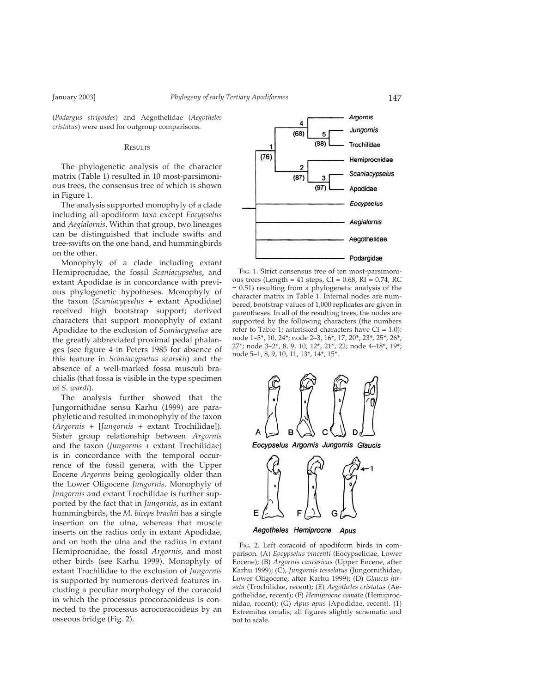(*Podargus strigoides*) and Aegothelidae (*Aegotheles cristatus*) were used for outgroup comparisons.

#### RESULTS

The phylogenetic analysis of the character matrix (Table 1) resulted in 10 most-parsimonious trees, the consensus tree of which is shown in Figure 1.

The analysis supported monophyly of a clade including all apodiform taxa except *Eocypselus* and *Aegialornis*. Within that group, two lineages can be distinguished that include swifts and tree-swifts on the one hand, and hummingbirds on the other.

Monophyly of a clade including extant Hemiprocnidae, the fossil *Scaniacypselus*, and extant Apodidae is in concordance with previous phylogenetic hypotheses. Monophyly of the taxon (*Scaniacypselus* + extant Apodidae) received high bootstrap support; derived characters that support monophyly of extant Apodidae to the exclusion of *Scaniacypselus* are the greatly abbreviated proximal pedal phalanges (see figure 4 in Peters 1985 for absence of this feature in *Scaniacypselus szarskii*) and the absence of a well-marked fossa musculi brachialis (that fossa is visible in the type specimen of *S. wardi*).

The analysis further showed that the Jungornithidae sensu Karhu (1999) are paraphyletic and resulted in monophyly of the taxon (*Argornis* + [*Jungornis* + extant Trochilidae]). Sister group relationship between *Argornis* and the taxon (*Jungornis* + extant Trochilidae) is in concordance with the temporal occurrence of the fossil genera, with the Upper Eocene *Argornis* being geologically older than the Lower Oligocene *Jungornis*. Monophyly of *Jungornis* and extant Trochilidae is further supported by the fact that in *Jungornis*, as in extant hummingbirds, the *M. biceps brachii* has a single insertion on the ulna, whereas that muscle inserts on the radius only in extant Apodidae, and on both the ulna and the radius in extant Hemiprocnidae, the fossil *Argornis*, and most other birds (see Karhu 1999). Monophyly of extant Trochilidae to the exclusion of *Jungornis* is supported by numerous derived features including a peculiar morphology of the coracoid in which the processus procoracoideus is connected to the processus acrocoracoideus by an osseous bridge (Fig. 2).



FIG. 1. Strict consensus tree of ten most-parsimonious trees (Length =  $41$  steps, CI = 0.68, RI = 0.74, RC = 0.51) resulting from a phylogenetic analysis of the character matrix in Table 1. Internal nodes are numbered, bootstrap values of 1,000 replicates are given in parentheses. In all of the resulting trees, the nodes are supported by the following characters (the numbers refer to Table 1; asterisked characters have  $CI = 1.0$ ): node 1–5\*, 10, 24\*; node 2–3, 16\*, 17, 20\*, 23\*, 25\*, 26\*, 27\*; node 3–2\*, 8, 9, 10, 12\*, 21\*, 22; node 4–18\*, 19\*; node 5–1, 8, 9, 10, 11, 13\*, 14\*, 15\*.



FIG. 2. Left coracoid of apodiform birds in comparison. (A) *Eocypselus vincenti* (Eocypselidae, Lower Eocene); (B) *Argornis caucasicus* (Upper Eocene, after Karhu 1999); (C), *Jungornis tesselatus* (Jungornithidae, Lower Oligocene, after Karhu 1999); (D) *Glaucis hirsuta* (Trochilidae, recent); (E) *Aegotheles cristatus* (Aegothelidae, recent); (F) *Hemiprocne comata* (Hemiprocnidae, recent); (G) *Apus apus* (Apodidae, recent). (1) Extremitas omalis; all figures slightly schematic and not to scale.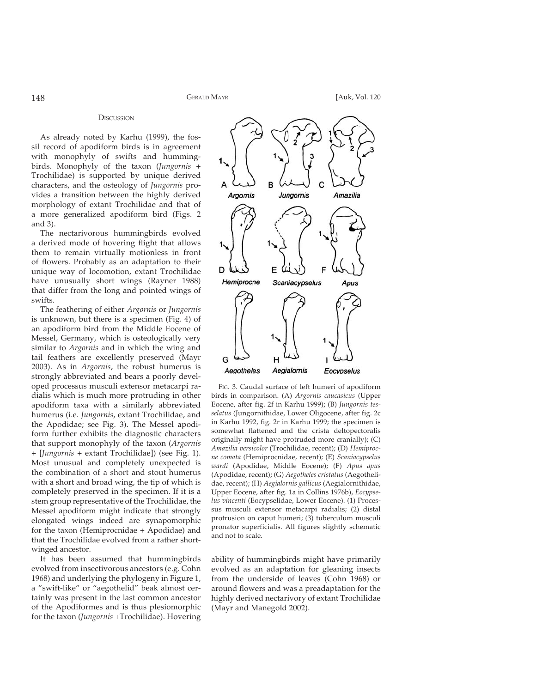#### **DISCUSSION**

As already noted by Karhu (1999), the fossil record of apodiform birds is in agreement with monophyly of swifts and hummingbirds. Monophyly of the taxon (*Jungornis* + Trochilidae) is supported by unique derived characters, and the osteology of *Jungornis* provides a transition between the highly derived morphology of extant Trochilidae and that of a more generalized apodiform bird (Figs. 2 and 3).

The nectarivorous hummingbirds evolved a derived mode of hovering flight that allows them to remain virtually motionless in front of flowers. Probably as an adaptation to their unique way of locomotion, extant Trochilidae have unusually short wings (Rayner 1988) that differ from the long and pointed wings of swifts.

The feathering of either *Argornis* or *Jungornis* is unknown, but there is a specimen (Fig. 4) of an apodiform bird from the Middle Eocene of Messel, Germany, which is osteologically very similar to *Argornis* and in which the wing and tail feathers are excellently preserved (Mayr 2003). As in *Argornis*, the robust humerus is strongly abbreviated and bears a poorly developed processus musculi extensor metacarpi radialis which is much more protruding in other apodiform taxa with a similarly abbreviated humerus (i.e. *Jungornis*, extant Trochilidae, and the Apodidae; see Fig. 3). The Messel apodiform further exhibits the diagnostic characters that support monophyly of the taxon (*Argornis* + [*Jungornis* + extant Trochilidae]) (see Fig. 1). Most unusual and completely unexpected is the combination of a short and stout humerus with a short and broad wing, the tip of which is completely preserved in the specimen. If it is a stem group representative of the Trochilidae, the Messel apodiform might indicate that strongly elongated wings indeed are synapomorphic for the taxon (Hemiprocnidae + Apodidae) and that the Trochilidae evolved from a rather shortwinged ancestor.

It has been assumed that hummingbirds evolved from insectivorous ancestors (e.g. Cohn 1968) and underlying the phylogeny in Figure 1, a "swift-like" or "aegothelid" beak almost certainly was present in the last common ancestor of the Apodiformes and is thus plesiomorphic for the taxon (*Jungornis* +Trochilidae). Hovering



FIG. 3. Caudal surface of left humeri of apodiform birds in comparison. (A) *Argornis caucasicus* (Upper Eocene, after fig. 2f in Karhu 1999); (B) *Jungornis tesselatus* (Jungornithidae, Lower Oligocene, after fig. 2c in Karhu 1992, fig. 2r in Karhu 1999; the specimen is somewhat flattened and the crista deltopectoralis originally might have protruded more cranially); (C) *Amazilia versicolor* (Trochilidae, recent); (D) *Hemiprocne comata* (Hemiprocnidae, recent); (E) *Scaniacypselus wardi* (Apodidae, Middle Eocene); (F) *Apus apus* (Apodidae, recent); (G) *Aegotheles cristatus* (Aegothelidae, recent); (H) *Aegialornis gallicus* (Aegialornithidae, Upper Eocene, after fig. 1a in Collins 1976b), *Eocypselus vincenti* (Eocypselidae, Lower Eocene). (1) Processus musculi extensor metacarpi radialis; (2) distal protrusion on caput humeri; (3) tuberculum musculi pronator superficialis. All figures slightly schematic and not to scale.

ability of hummingbirds might have primarily evolved as an adaptation for gleaning insects from the underside of leaves (Cohn 1968) or around flowers and was a preadaptation for the highly derived nectarivory of extant Trochilidae (Mayr and Manegold 2002).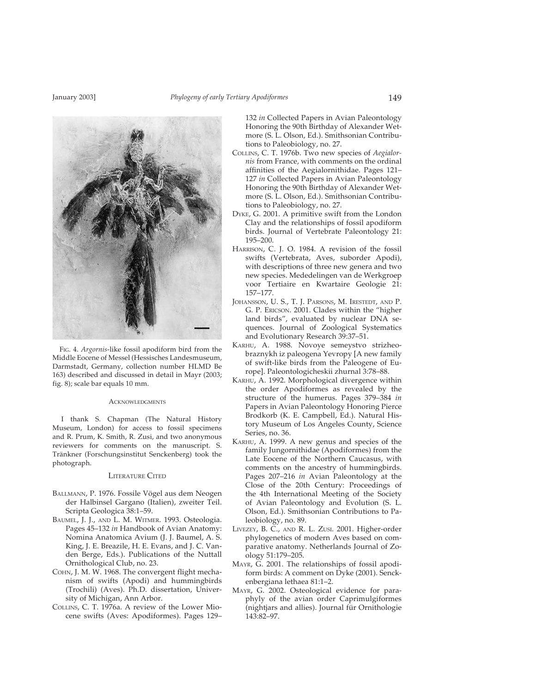

FIG. 4. *Argornis*-like fossil apodiform bird from the Middle Eocene of Messel (Hessisches Landesmuseum, Darmstadt, Germany, collection number HLMD Be 163) described and discussed in detail in Mayr (2003; fig. 8); scale bar equals 10 mm.

#### **ACKNOWLEDGMENTS**

I thank S. Chapman (The Natural History Museum, London) for access to fossil specimens and R. Prum, K. Smith, R. Zusi, and two anonymous reviewers for comments on the manuscript. S. Tränkner (Forschungsinstitut Senckenberg) took the photograph.

### LITERATURE CITED

- BALLMANN, P. 1976. Fossile Vögel aus dem Neogen der Halbinsel Gargano (Italien), zweiter Teil. Scripta Geologica 38:1–59.
- BAUMEL, J. J., AND L. M. WITMER. 1993. Osteologia. Pages 45–132 *in* Handbook of Avian Anatomy: Nomina Anatomica Avium (J. J. Baumel, A. S. King, J. E. Breazile, H. E. Evans, and J. C. Vanden Berge, Eds.). Publications of the Nuttall Ornithological Club, no. 23.
- COHN, J. M. W. 1968. The convergent flight mechanism of swifts (Apodi) and hummingbirds (Trochili) (Aves). Ph.D. dissertation, University of Michigan, Ann Arbor.
- COLLINS, C. T. 1976a. A review of the Lower Miocene swifts (Aves: Apodiformes). Pages 129–

132 *in* Collected Papers in Avian Paleontology Honoring the 90th Birthday of Alexander Wetmore (S. L. Olson, Ed.). Smithsonian Contributions to Paleobiology, no. 27.

- COLLINS, C. T. 1976b. Two new species of *Aegialornis* from France, with comments on the ordinal affinities of the Aegialornithidae. Pages 121-127 *in* Collected Papers in Avian Paleontology Honoring the 90th Birthday of Alexander Wetmore (S. L. Olson, Ed.). Smithsonian Contributions to Paleobiology, no. 27.
- DYKE, G. 2001. A primitive swift from the London Clay and the relationships of fossil apodiform birds. Journal of Vertebrate Paleontology 21: 195–200.
- HARRISON, C. J. O. 1984. A revision of the fossil swifts (Vertebrata, Aves, suborder Apodi), with descriptions of three new genera and two new species. Mededelingen van de Werkgroep voor Tertiaire en Kwartaire Geologie 21: 157–177.
- JOHANSSON, U. S., T. J. PARSONS, M. IRESTEDT, AND P. G. P. ERICSON. 2001. Clades within the "higher land birds", evaluated by nuclear DNA sequences. Journal of Zoological Systematics and Evolutionary Research 39:37–51.
- KARHU, A. 1988. Novoye semeystvo strizheobraznykh iz paleogena Yevropy [A new family of swift-like birds from the Paleogene of Europe]. Paleontologicheskii zhurnal 3:78–88.
- KARHU, A. 1992. Morphological divergence within the order Apodiformes as revealed by the structure of the humerus. Pages 379–384 *in* Papers in Avian Paleontology Honoring Pierce Brodkorb (K. E. Campbell, Ed.). Natural History Museum of Los Angeles County, Science Series, no. 36.
- KARHU, A. 1999. A new genus and species of the family Jungornithidae (Apodiformes) from the Late Eocene of the Northern Caucasus, with comments on the ancestry of hummingbirds. Pages 207–216 *in* Avian Paleontology at the Close of the 20th Century: Proceedings of the 4th International Meeting of the Society of Avian Paleontology and Evolution (S. L. Olson, Ed.). Smithsonian Contributions to Paleobiology, no. 89.
- LIVEZEY, B. C., AND R. L. ZUSI. 2001. Higher-order phylogenetics of modern Aves based on comparative anatomy. Netherlands Journal of Zoology 51:179–205.
- MAYR, G. 2001. The relationships of fossil apodiform birds: A comment on Dyke (2001). Senckenbergiana lethaea 81:1–2.
- MAYR, G. 2002. Osteological evidence for paraphyly of the avian order Caprimulgiformes (nightjars and allies). Journal für Ornithologie 143:82–97.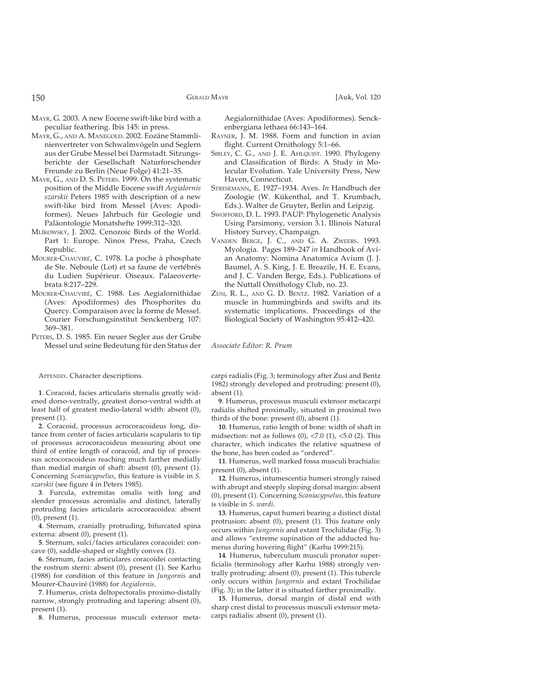- MAYR, G. 2003. A new Eocene swift-like bird with a peculiar feathering. Ibis 145: in press.
- MAYR, G., AND A. MANEGOLD. 2002. Eozäne Stammlinienvertreter von Schwalmvögeln und Seglern aus der Grube Messel bei Darmstadt. Sitzungsberichte der Gesellschaft Naturforschender Freunde zu Berlin (Neue Folge) 41:21–35.
- MAYR, G., AND D. S. PETERS. 1999. On the systematic position of the Middle Eocene swift *Aegialornis szarskii* Peters 1985 with description of a new swift-like bird from Messel (Aves: Apodiformes). Neues Jahrbuch für Geologie und Paläontologie Monatshefte 1999:312–320.
- MLÍKOWSKÝ, J. 2002. Cenozoic Birds of the World. Part 1: Europe. Ninox Press, Praha, Czech Republic.
- MOURER-CHAUVIRÉ, C. 1978. La poche à phosphate de Ste. Neboule (Lot) et sa faune de vertébrés du Ludien Supérieur. Oiseaux. Palaeovertebrata 8:217–229.
- MOURER-CHAUVIRÉ, C. 1988. Les Aegialornithidae (Aves: Apodiformes) des Phosphorites du Quercy. Comparaison avec la forme de Messel. Courier Forschungsinstitut Senckenberg 107: 369–381.
- PETERS, D. S. 1985. Ein neuer Segler aus der Grube Messel und seine Bedeutung für den Status der

APPENDIX. Character descriptions.

**1**. Coracoid, facies articularis sternalis greatly widened dorso-ventrally, greatest dorso-ventral width at least half of greatest medio-lateral width: absent (0), present (1).

**2**. Coracoid, processus acrocoracoideus long, distance from center of facies articularis scapularis to tip of processus acrocoracoideus measuring about one third of entire length of coracoid, and tip of processus acrocoracoideus reaching much farther medially than medial margin of shaft: absent (0), present (1). Concerning *Scaniacypselus*, this feature is visible in *S. szarskii* (see figure 4 in Peters 1985).

**3**. Furcula, extremitas omalis with long and slender processus acromialis and distinct, laterally protruding facies articularis acrocoracoidea: absent (0), present (1).

**4**. Sternum, cranially protruding, bifurcated spina externa: absent (0), present (1).

**5**. Sternum, sulci/facies articulares coracoidei: concave (0), saddle-shaped or slightly convex (1).

**6**. Sternum, facies articulares coracoidei contacting the rostrum sterni: absent (0), present (1). See Karhu (1988) for condition of this feature in *Jungornis* and Mourer-Chauviré (1988) for *Aegialornis*.

**7**. Humerus, crista deltopectoralis proximo-distally narrow, strongly protruding and tapering: absent (0), present (1).

**8**. Humerus, processus musculi extensor meta-

Aegialornithidae (Aves: Apodiformes). Senckenbergiana lethaea 66:143–164.

- RAYNER, J. M. 1988. Form and function in avian flight. Current Ornithology 5:1–66.
- SIBLEY, C. G., AND J. E. AHLQUIST. 1990. Phylogeny and Classification of Birds: A Study in Molecular Evolution. Yale University Press, New Haven, Connecticut.
- STRESEMANN, E. 1927–1934. Aves. *In* Handbuch der Zoologie (W. Kükenthal, and T. Krumbach, Eds.). Walter de Gruyter, Berlin and Leipzig.
- SWOFFORD, D. L. 1993. PAUP: Phylogenetic Analysis Using Parsimony, version 3.1. Illinois Natural History Survey, Champaign.
- VANDEN BERGE, J. C., AND G. A. ZWEERS. 1993. Myologia. Pages 189–247 *in* Handbook of Avian Anatomy: Nomina Anatomica Avium (J. J. Baumel, A. S. King, J. E. Breazile, H. E. Evans, and J. C. Vanden Berge, Eds.). Publications of the Nuttall Ornithology Club, no. 23.
- ZUSI, R. L., AND G. D. BENTZ. 1982. Variation of a muscle in hummingbirds and swifts and its systematic implications. Proceedings of the Biological Society of Washington 95:412–420.

*Associate Editor: R. Prum*

carpi radialis (Fig. 3; terminology after Zusi and Bentz 1982) strongly developed and protruding: present (0), absent (1).

**9**. Humerus, processus musculi extensor metacarpi radialis shifted proximally, situated in proximal two thirds of the bone: present (0), absent (1).

**10**. Humerus, ratio length of bone: width of shaft in midsection: not as follows  $(0)$ , <7.0  $(1)$ , <5.0  $(2)$ . This character, which indicates the relative squatness of the bone, has been coded as "ordered".

**11**. Humerus, well marked fossa musculi brachialis: present (0), absent (1).

**12**. Humerus, intumescentia humeri strongly raised with abrupt and steeply sloping dorsal margin: absent (0), present (1). Concerning *Scaniacypselus*, this feature is visible in *S. wardi*.

**13**. Humerus, caput humeri bearing a distinct distal protrusion: absent (0), present (1). This feature only occurs within *Jungornis* and extant Trochilidae (Fig. 3) and allows "extreme supination of the adducted humerus during hovering flight" (Karhu 1999:215).

**14**. Humerus, tuberculum musculi pronator superficialis (terminology after Karhu 1988) strongly ventrally protruding: absent (0), present (1). This tubercle only occurs within *Jungornis* and extant Trochilidae (Fig. 3); in the latter it is situated farther proximally.

**15**. Humerus, dorsal margin of distal end with sharp crest distal to processus musculi extensor metacarpi radialis: absent (0), present (1).